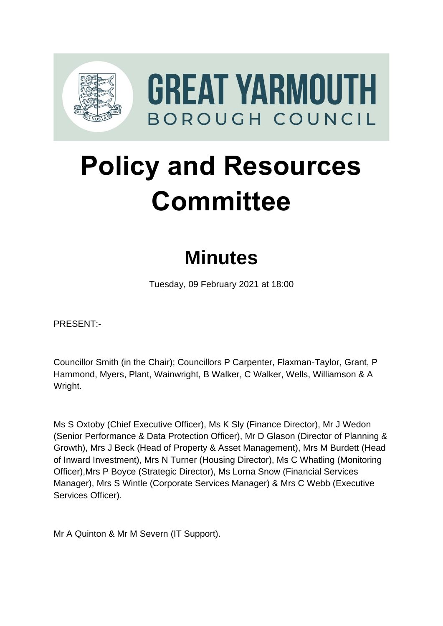

# **Policy and Resources Committee**

# **Minutes**

Tuesday, 09 February 2021 at 18:00

PRESENT:-

Councillor Smith (in the Chair); Councillors P Carpenter, Flaxman-Taylor, Grant, P Hammond, Myers, Plant, Wainwright, B Walker, C Walker, Wells, Williamson & A Wright.

Ms S Oxtoby (Chief Executive Officer), Ms K Sly (Finance Director), Mr J Wedon (Senior Performance & Data Protection Officer), Mr D Glason (Director of Planning & Growth), Mrs J Beck (Head of Property & Asset Management), Mrs M Burdett (Head of Inward Investment), Mrs N Turner (Housing Director), Ms C Whatling (Monitoring Officer),Mrs P Boyce (Strategic Director), Ms Lorna Snow (Financial Services Manager), Mrs S Wintle (Corporate Services Manager) & Mrs C Webb (Executive Services Officer).

Mr A Quinton & Mr M Severn (IT Support).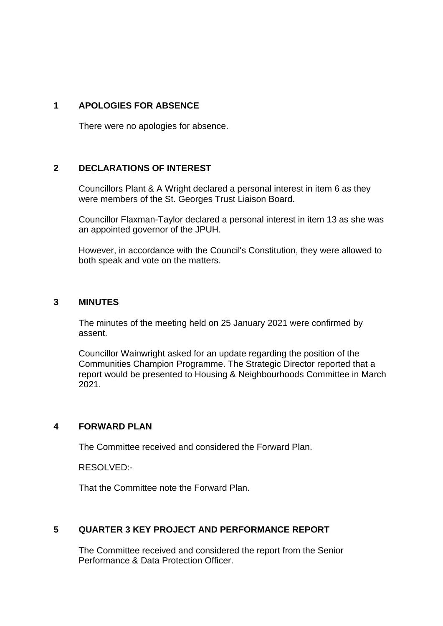#### **1 APOLOGIES FOR ABSENCE**

There were no apologies for absence.

#### **2 DECLARATIONS OF INTEREST** 2

Councillors Plant & A Wright declared a personal interest in item 6 as they were members of the St. Georges Trust Liaison Board.

Councillor Flaxman-Taylor declared a personal interest in item 13 as she was an appointed governor of the JPUH.

However, in accordance with the Council's Constitution, they were allowed to both speak and vote on the matters.

#### **3 MINUTES** 3

The minutes of the meeting held on 25 January 2021 were confirmed by assent.

Councillor Wainwright asked for an update regarding the position of the Communities Champion Programme. The Strategic Director reported that a report would be presented to Housing & Neighbourhoods Committee in March 2021.

#### **4 FORWARD PLAN** 4

The Committee received and considered the Forward Plan.

RESOLVED:-

That the Committee note the Forward Plan.

#### **5 QUARTER 3 KEY PROJECT AND PERFORMANCE REPORT** 5

The Committee received and considered the report from the Senior Performance & Data Protection Officer.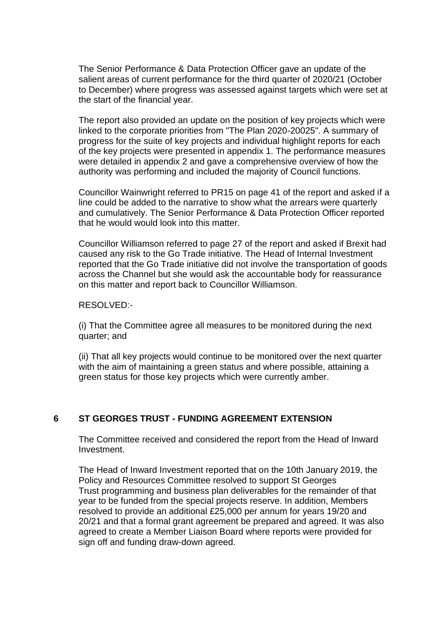The Senior Performance & Data Protection Officer gave an update of the salient areas of current performance for the third quarter of 2020/21 (October to December) where progress was assessed against targets which were set at the start of the financial year.

The report also provided an update on the position of key projects which were linked to the corporate priorities from "The Plan 2020-20025". A summary of progress for the suite of key projects and individual highlight reports for each of the key projects were presented in appendix 1. The performance measures were detailed in appendix 2 and gave a comprehensive overview of how the authority was performing and included the majority of Council functions.

Councillor Wainwright referred to PR15 on page 41 of the report and asked if a line could be added to the narrative to show what the arrears were quarterly and cumulatively. The Senior Performance & Data Protection Officer reported that he would would look into this matter.

Councillor Williamson referred to page 27 of the report and asked if Brexit had caused any risk to the Go Trade initiative. The Head of Internal Investment reported that the Go Trade initiative did not involve the transportation of goods across the Channel but she would ask the accountable body for reassurance on this matter and report back to Councillor Williamson.

RESOLVED:-

(i) That the Committee agree all measures to be monitored during the next quarter; and

(ii) That all key projects would continue to be monitored over the next quarter with the aim of maintaining a green status and where possible, attaining a green status for those key projects which were currently amber.

# **6** ST GEORGES TRUST - FUNDING AGREEMENT EXTENSION

The Committee received and considered the report from the Head of Inward Investment.

The Head of Inward Investment reported that on the 10th January 2019, the Policy and Resources Committee resolved to support St Georges Trust programming and business plan deliverables for the remainder of that year to be funded from the special projects reserve. In addition, Members resolved to provide an additional £25,000 per annum for years 19/20 and 20/21 and that a formal grant agreement be prepared and agreed. It was also agreed to create a Member Liaison Board where reports were provided for sign off and funding draw-down agreed.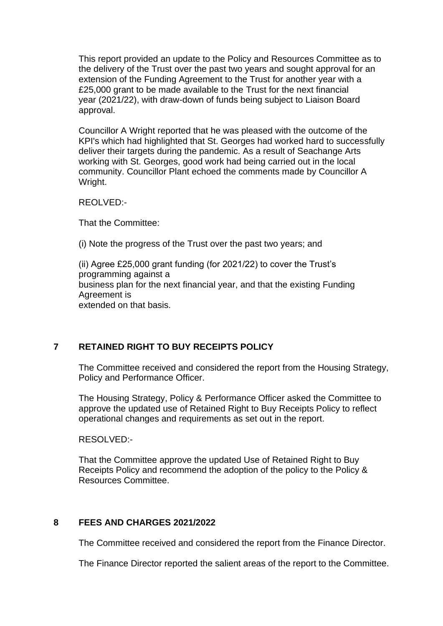This report provided an update to the Policy and Resources Committee as to the delivery of the Trust over the past two years and sought approval for an extension of the Funding Agreement to the Trust for another year with a £25,000 grant to be made available to the Trust for the next financial year (2021/22), with draw-down of funds being subject to Liaison Board approval.

Councillor A Wright reported that he was pleased with the outcome of the KPI's which had highlighted that St. Georges had worked hard to successfully deliver their targets during the pandemic. As a result of Seachange Arts working with St. Georges, good work had being carried out in the local community. Councillor Plant echoed the comments made by Councillor A Wright.

REOLVED:-

That the Committee:

(i) Note the progress of the Trust over the past two years; and

(ii) Agree £25,000 grant funding (for 2021/22) to cover the Trust's programming against a business plan for the next financial year, and that the existing Funding Agreement is extended on that basis.

# **7 RETAINED RIGHT TO BUY RECEIPTS POLICY** 7

The Committee received and considered the report from the Housing Strategy, Policy and Performance Officer.

The Housing Strategy, Policy & Performance Officer asked the Committee to approve the updated use of Retained Right to Buy Receipts Policy to reflect operational changes and requirements as set out in the report.

RESOLVED:-

That the Committee approve the updated Use of Retained Right to Buy Receipts Policy and recommend the adoption of the policy to the Policy & Resources Committee.

#### **8 FEES AND CHARGES 2021/2022** 8

The Committee received and considered the report from the Finance Director.

The Finance Director reported the salient areas of the report to the Committee.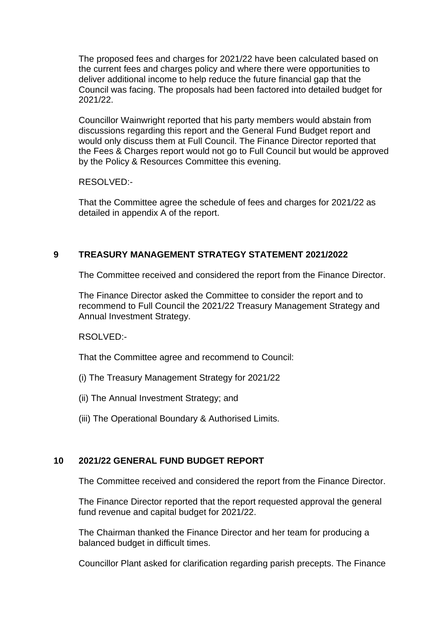The proposed fees and charges for 2021/22 have been calculated based on the current fees and charges policy and where there were opportunities to deliver additional income to help reduce the future financial gap that the Council was facing. The proposals had been factored into detailed budget for 2021/22.

Councillor Wainwright reported that his party members would abstain from discussions regarding this report and the General Fund Budget report and would only discuss them at Full Council. The Finance Director reported that the Fees & Charges report would not go to Full Council but would be approved by the Policy & Resources Committee this evening.

RESOLVED:-

That the Committee agree the schedule of fees and charges for 2021/22 as detailed in appendix A of the report.

# **9 TREASURY MANAGEMENT STRATEGY STATEMENT 2021/2022** 9

The Committee received and considered the report from the Finance Director.

The Finance Director asked the Committee to consider the report and to recommend to Full Council the 2021/22 Treasury Management Strategy and Annual Investment Strategy.

RSOLVED:-

That the Committee agree and recommend to Council:

- (i) The Treasury Management Strategy for 2021/22
- (ii) The Annual Investment Strategy; and
- (iii) The Operational Boundary & Authorised Limits.

# **10 2021/22 GENERAL FUND BUDGET REPORT** 10

The Committee received and considered the report from the Finance Director.

The Finance Director reported that the report requested approval the general fund revenue and capital budget for 2021/22.

The Chairman thanked the Finance Director and her team for producing a balanced budget in difficult times.

Councillor Plant asked for clarification regarding parish precepts. The Finance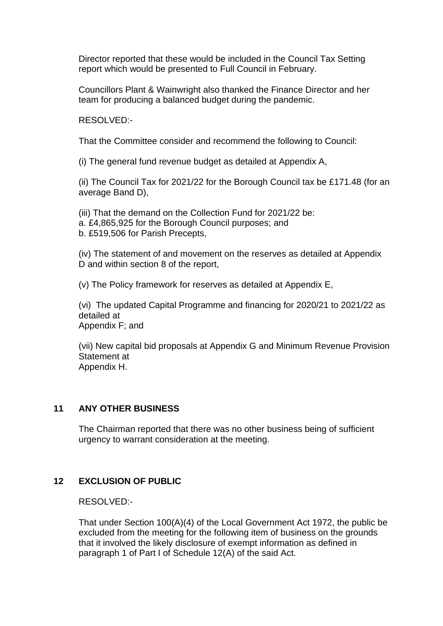Director reported that these would be included in the Council Tax Setting report which would be presented to Full Council in February.

Councillors Plant & Wainwright also thanked the Finance Director and her team for producing a balanced budget during the pandemic.

RESOLVED:-

That the Committee consider and recommend the following to Council:

(i) The general fund revenue budget as detailed at Appendix A,

(ii) The Council Tax for 2021/22 for the Borough Council tax be £171.48 (for an average Band D),

(iii) That the demand on the Collection Fund for 2021/22 be: a. £4,865,925 for the Borough Council purposes; and b. £519,506 for Parish Precepts,

(iv) The statement of and movement on the reserves as detailed at Appendix D and within section 8 of the report,

(v) The Policy framework for reserves as detailed at Appendix E,

(vi) The updated Capital Programme and financing for 2020/21 to 2021/22 as detailed at Appendix F; and

(vii) New capital bid proposals at Appendix G and Minimum Revenue Provision Statement at Appendix H.

# **11 ANY OTHER BUSINESS** 11

The Chairman reported that there was no other business being of sufficient urgency to warrant consideration at the meeting.

# **12 EXCLUSION OF PUBLIC** 12

RESOLVED:-

That under Section 100(A)(4) of the Local Government Act 1972, the public be excluded from the meeting for the following item of business on the grounds that it involved the likely disclosure of exempt information as defined in paragraph 1 of Part I of Schedule 12(A) of the said Act.